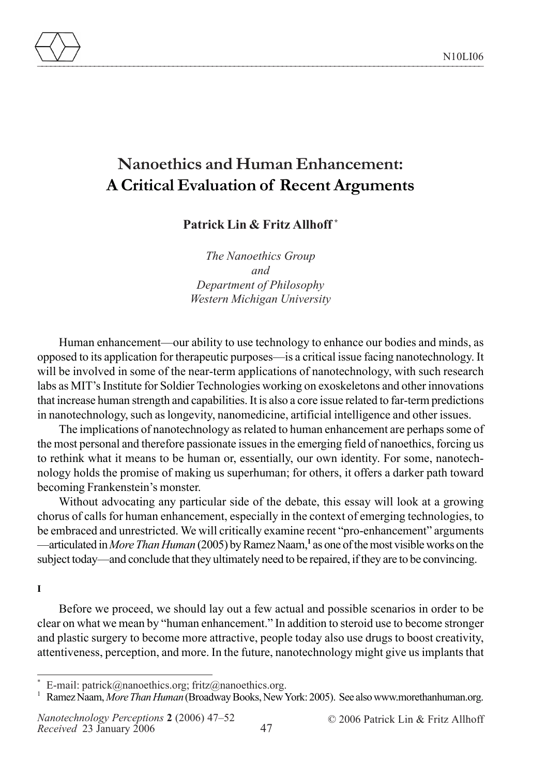

# **Nanoethics and Human Enhancement: A Critical Evaluation of Recent Arguments**

**Patrick Lin & Fritz Allhoff \*** 

*The Nanoethics Group and Department of Philosophy Western Michigan University*

Human enhancement—our ability to use technology to enhance our bodies and minds, as opposed to its application for therapeutic purposes—is a critical issue facing nanotechnology. It will be involved in some of the near-term applications of nanotechnology, with such research labs as MIT's Institute for Soldier Technologies working on exoskeletons and other innovations that increase human strength and capabilities. It is also a core issue related to far-term predictions in nanotechnology, such as longevity, nanomedicine, artificial intelligence and other issues.

The implications of nanotechnology as related to human enhancement are perhaps some of the most personal and therefore passionate issues in the emerging field of nanoethics, forcing us to rethink what it means to be human or, essentially, our own identity. For some, nanotechnology holds the promise of making us superhuman; for others, it offers a darker path toward becoming Frankenstein's monster.

Without advocating any particular side of the debate, this essay will look at a growing chorus of calls for human enhancement, especially in the context of emerging technologies, to be embraced and unrestricted. We will critically examine recent "pro-enhancement" arguments —articulated in *More Than Human* (2005) by Ramez Naam,**<sup>1</sup>** as one of the most visible works on the subject today—and conclude that they ultimately need to be repaired, if they are to be convincing.

### **I**

Before we proceed, we should lay out a few actual and possible scenarios in order to be clear on what we mean by "human enhancement." In addition to steroid use to become stronger and plastic surgery to become more attractive, people today also use drugs to boost creativity, attentiveness, perception, and more. In the future, nanotechnology might give us implants that

E-mail: patrick@nanoethics.org; fritz@nanoethics.org.

1 Ramez Naam, *More Than Human* (Broadway Books, New York: 2005). See also www.morethanhuman.org.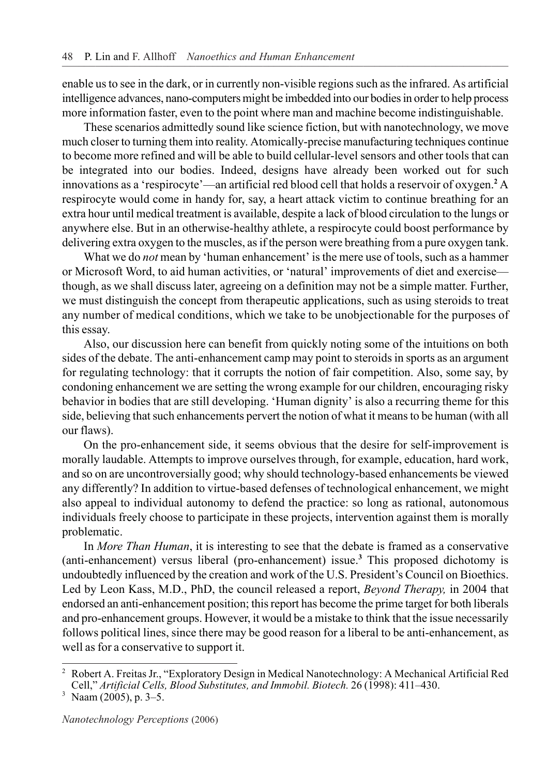enable us to see in the dark, or in currently non-visible regions such as the infrared. As artificial intelligence advances, nano-computers might be imbedded into our bodies in order to help process more information faster, even to the point where man and machine become indistinguishable.

These scenarios admittedly sound like science fiction, but with nanotechnology, we move much closer to turning them into reality. Atomically-precise manufacturing techniques continue to become more refined and will be able to build cellular-level sensors and other tools that can be integrated into our bodies. Indeed, designs have already been worked out for such innovations as a 'respirocyte'—an artificial red blood cell that holds a reservoir of oxygen.**<sup>2</sup>** A respirocyte would come in handy for, say, a heart attack victim to continue breathing for an extra hour until medical treatment is available, despite a lack of blood circulation to the lungs or anywhere else. But in an otherwise-healthy athlete, a respirocyte could boost performance by delivering extra oxygen to the muscles, as if the person were breathing from a pure oxygen tank.

What we do *not* mean by 'human enhancement' is the mere use of tools, such as a hammer or Microsoft Word, to aid human activities, or 'natural' improvements of diet and exercise though, as we shall discuss later, agreeing on a definition may not be a simple matter. Further, we must distinguish the concept from therapeutic applications, such as using steroids to treat any number of medical conditions, which we take to be unobjectionable for the purposes of this essay.

Also, our discussion here can benefit from quickly noting some of the intuitions on both sides of the debate. The anti-enhancement camp may point to steroids in sports as an argument for regulating technology: that it corrupts the notion of fair competition. Also, some say, by condoning enhancement we are setting the wrong example for our children, encouraging risky behavior in bodies that are still developing. 'Human dignity' is also a recurring theme for this side, believing that such enhancements pervert the notion of what it means to be human (with all our flaws).

On the pro-enhancement side, it seems obvious that the desire for self-improvement is morally laudable. Attempts to improve ourselves through, for example, education, hard work, and so on are uncontroversially good; why should technology-based enhancements be viewed any differently? In addition to virtue-based defenses of technological enhancement, we might also appeal to individual autonomy to defend the practice: so long as rational, autonomous individuals freely choose to participate in these projects, intervention against them is morally problematic.

In *More Than Human*, it is interesting to see that the debate is framed as a conservative (anti-enhancement) versus liberal (pro-enhancement) issue.**<sup>3</sup>** This proposed dichotomy is undoubtedly influenced by the creation and work of the U.S. President's Council on Bioethics. Led by Leon Kass, M.D., PhD, the council released a report, *Beyond Therapy,* in 2004 that endorsed an anti-enhancement position; this report has become the prime target for both liberals and pro-enhancement groups. However, it would be a mistake to think that the issue necessarily follows political lines, since there may be good reason for a liberal to be anti-enhancement, as well as for a conservative to support it.

<sup>2</sup> Robert A. Freitas Jr., "Exploratory Design in Medical Nanotechnology: A Mechanical Artificial Red Cell," *Artificial Cells, Blood Substitutes, and Immobil. Biotech.* 26 (1998): 411–430. 3 Naam (2005), p. 3–5.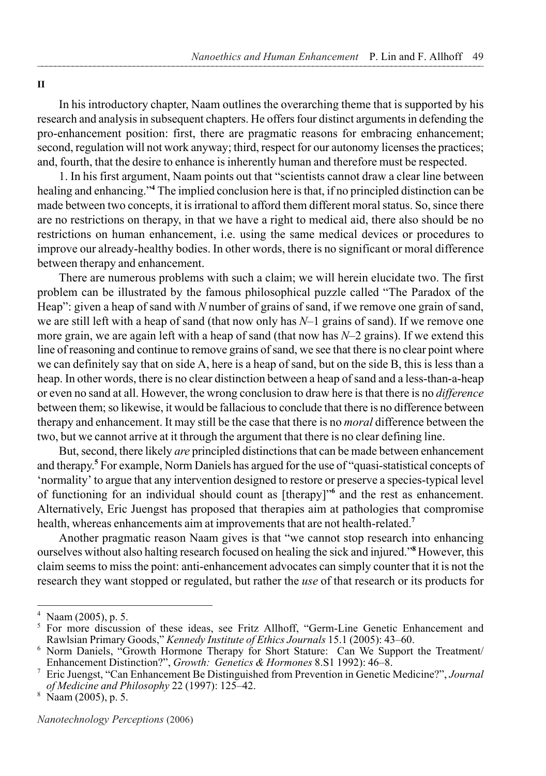#### **II**

In his introductory chapter, Naam outlines the overarching theme that is supported by his research and analysis in subsequent chapters. He offers four distinct arguments in defending the pro-enhancement position: first, there are pragmatic reasons for embracing enhancement; second, regulation will not work anyway; third, respect for our autonomy licenses the practices; and, fourth, that the desire to enhance is inherently human and therefore must be respected.

1. In his first argument, Naam points out that "scientists cannot draw a clear line between healing and enhancing."**<sup>4</sup>** The implied conclusion here is that, if no principled distinction can be made between two concepts, it is irrational to afford them different moral status. So, since there are no restrictions on therapy, in that we have a right to medical aid, there also should be no restrictions on human enhancement, i.e. using the same medical devices or procedures to improve our already-healthy bodies. In other words, there is no significant or moral difference between therapy and enhancement.

There are numerous problems with such a claim; we will herein elucidate two. The first problem can be illustrated by the famous philosophical puzzle called "The Paradox of the Heap": given a heap of sand with *N* number of grains of sand, if we remove one grain of sand, we are still left with a heap of sand (that now only has *N*–1 grains of sand). If we remove one more grain, we are again left with a heap of sand (that now has *N*–2 grains). If we extend this line of reasoning and continue to remove grains of sand, we see that there is no clear point where we can definitely say that on side A, here is a heap of sand, but on the side B, this is less than a heap. In other words, there is no clear distinction between a heap of sand and a less-than-a-heap or even no sand at all. However, the wrong conclusion to draw here is that there is no *difference*  between them; so likewise, it would be fallacious to conclude that there is no difference between therapy and enhancement. It may still be the case that there is no *moral* difference between the two, but we cannot arrive at it through the argument that there is no clear defining line.

But, second, there likely *are* principled distinctions that can be made between enhancement and therapy.**<sup>5</sup>** For example, Norm Daniels has argued for the use of "quasi-statistical concepts of 'normality' to argue that any intervention designed to restore or preserve a species-typical level of functioning for an individual should count as [therapy]"**<sup>6</sup>** and the rest as enhancement. Alternatively, Eric Juengst has proposed that therapies aim at pathologies that compromise health, whereas enhancements aim at improvements that are not health-related.**<sup>7</sup>**

Another pragmatic reason Naam gives is that "we cannot stop research into enhancing ourselves without also halting research focused on healing the sick and injured."<sup>8</sup> However, this claim seems to miss the point: anti-enhancement advocates can simply counter that it is not the research they want stopped or regulated, but rather the *use* of that research or its products for

<sup>&</sup>lt;sup>4</sup> Naam (2005), p. 5.<br><sup>5</sup> For more discussion of these ideas, see Fritz Allhoff, "Germ-Line Genetic Enhancement and Rawlsian Primary Goods," *Kennedy Institute of Ethics Journals* 15.1 (2005): 43–60.

<sup>&</sup>lt;sup>6</sup> Norm Daniels, "Growth Hormone Therapy for Short Stature: Can We Support the Treatment/<br>Enhancement Distinction?", *Growth: Genetics & Hormones* 8.S1 1992): 46–8.

<sup>&</sup>lt;sup>7</sup> Eric Juengst, "Can Enhancement Be Distinguished from Prevention in Genetic Medicine?", *Journal of Medicine and Philosophy* 22 (1997): 125–42. 8 Naam (2005), p. 5.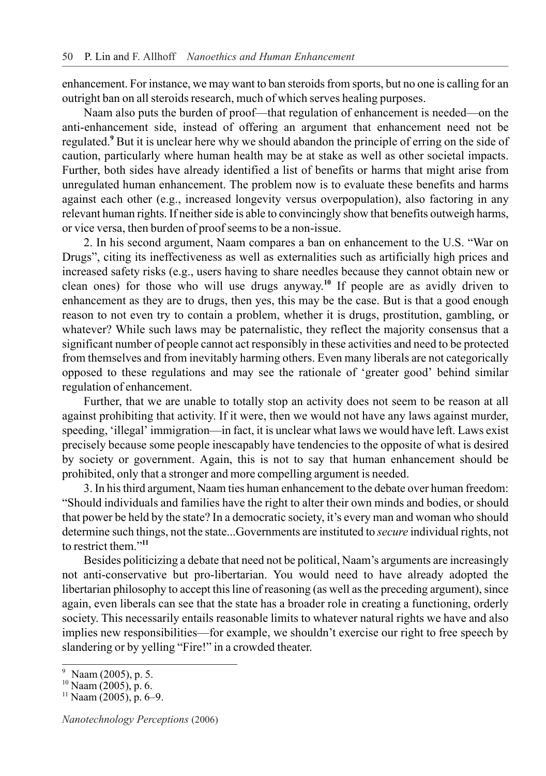enhancement. For instance, we may want to ban steroids from sports, but no one is calling for an outright ban on all steroids research, much of which serves healing purposes.

Naam also puts the burden of proof—that regulation of enhancement is needed—on the anti-enhancement side, instead of offering an argument that enhancement need not be regulated.<sup>9</sup> But it is unclear here why we should abandon the principle of erring on the side of caution, particularly where human health may be at stake as well as other societal impacts. Further, both sides have already identified a list of benefits or harms that might arise from unregulated human enhancement. The problem now is to evaluate these benefits and harms against each other (e.g., increased longevity versus overpopulation), also factoring in any relevant human rights. If neither side is able to convincingly show that benefits outweigh harms, or vice versa, then burden of proof seems to be a non-issue.

2. In his second argument, Naam compares a ban on enhancement to the U.S. "War on Drugs", citing its ineffectiveness as well as externalities such as artificially high prices and increased safety risks (e.g., users having to share needles because they cannot obtain new or clean ones) for those who will use drugs anyway.**<sup>10</sup>** If people are as avidly driven to enhancement as they are to drugs, then yes, this may be the case. But is that a good enough reason to not even try to contain a problem, whether it is drugs, prostitution, gambling, or whatever? While such laws may be paternalistic, they reflect the majority consensus that a significant number of people cannot act responsibly in these activities and need to be protected from themselves and from inevitably harming others. Even many liberals are not categorically opposed to these regulations and may see the rationale of 'greater good' behind similar regulation of enhancement.

Further, that we are unable to totally stop an activity does not seem to be reason at all against prohibiting that activity. If it were, then we would not have any laws against murder, speeding, 'illegal' immigration—in fact, it is unclear what laws we would have left. Laws exist precisely because some people inescapably have tendencies to the opposite of what is desired by society or government. Again, this is not to say that human enhancement should be prohibited, only that a stronger and more compelling argument is needed.

3. In his third argument, Naam ties human enhancement to the debate over human freedom: "Should individuals and families have the right to alter their own minds and bodies, or should that power be held by the state? In a democratic society, it's every man and woman who should determine such things, not the state...Governments are instituted to *secure* individual rights, not to restrict them."**<sup>11</sup>**

Besides politicizing a debate that need not be political, Naam's arguments are increasingly not anti-conservative but pro-libertarian. You would need to have already adopted the libertarian philosophy to accept this line of reasoning (as well as the preceding argument), since again, even liberals can see that the state has a broader role in creating a functioning, orderly society. This necessarily entails reasonable limits to whatever natural rights we have and also implies new responsibilities—for example, we shouldn't exercise our right to free speech by slandering or by yelling "Fire!" in a crowded theater.

 $\frac{9}{10}$  Naam (2005), p. 5.<br> $\frac{10}{10}$  Naam (2005), p. 6.

 $11$  Naam (2005), p. 6–9.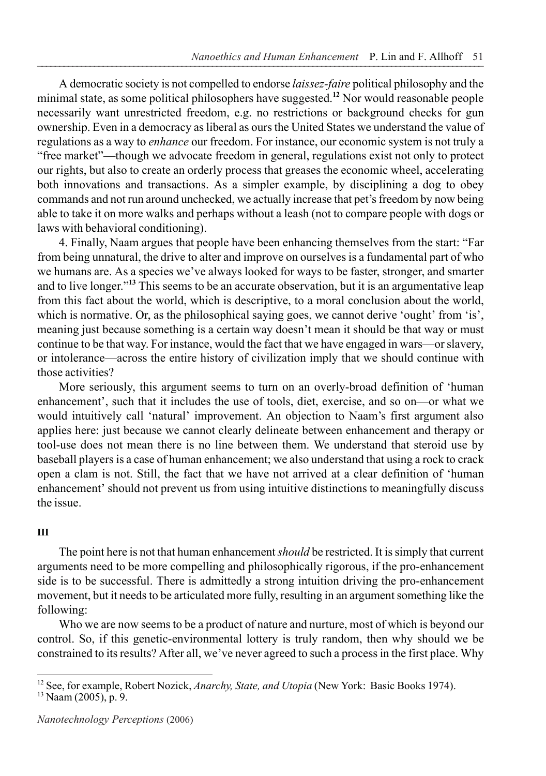A democratic society is not compelled to endorse *laissez-faire* political philosophy and the minimal state, as some political philosophers have suggested.**<sup>12</sup>** Nor would reasonable people necessarily want unrestricted freedom, e.g. no restrictions or background checks for gun ownership. Even in a democracy as liberal as ours the United States we understand the value of regulations as a way to *enhance* our freedom. For instance, our economic system is not truly a "free market"—though we advocate freedom in general, regulations exist not only to protect our rights, but also to create an orderly process that greases the economic wheel, accelerating both innovations and transactions. As a simpler example, by disciplining a dog to obey commands and not run around unchecked, we actually increase that pet's freedom by now being able to take it on more walks and perhaps without a leash (not to compare people with dogs or laws with behavioral conditioning).

4. Finally, Naam argues that people have been enhancing themselves from the start: "Far from being unnatural, the drive to alter and improve on ourselves is a fundamental part of who we humans are. As a species we've always looked for ways to be faster, stronger, and smarter and to live longer."**<sup>13</sup>** This seems to be an accurate observation, but it is an argumentative leap from this fact about the world, which is descriptive, to a moral conclusion about the world, which is normative. Or, as the philosophical saying goes, we cannot derive 'ought' from 'is', meaning just because something is a certain way doesn't mean it should be that way or must continue to be that way. For instance, would the fact that we have engaged in wars—or slavery, or intolerance—across the entire history of civilization imply that we should continue with those activities?

More seriously, this argument seems to turn on an overly-broad definition of 'human enhancement', such that it includes the use of tools, diet, exercise, and so on—or what we would intuitively call 'natural' improvement. An objection to Naam's first argument also applies here: just because we cannot clearly delineate between enhancement and therapy or tool-use does not mean there is no line between them. We understand that steroid use by baseball players is a case of human enhancement; we also understand that using a rock to crack open a clam is not. Still, the fact that we have not arrived at a clear definition of 'human enhancement' should not prevent us from using intuitive distinctions to meaningfully discuss the issue.

# **III**

The point here is not that human enhancement *should* be restricted. It is simply that current arguments need to be more compelling and philosophically rigorous, if the pro-enhancement side is to be successful. There is admittedly a strong intuition driving the pro-enhancement movement, but it needs to be articulated more fully, resulting in an argument something like the following:

Who we are now seems to be a product of nature and nurture, most of which is beyond our control. So, if this genetic-environmental lottery is truly random, then why should we be constrained to its results? After all, we've never agreed to such a process in the first place. Why

<sup>&</sup>lt;sup>12</sup> See, for example, Robert Nozick, *Anarchy, State, and Utopia* (New York: Basic Books 1974).<br><sup>13</sup> Naam (2005), p. 9.